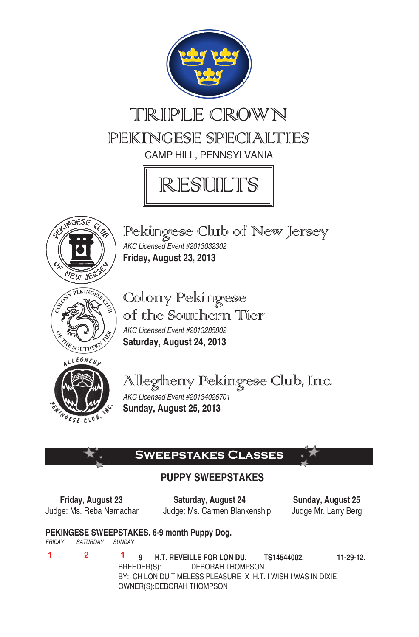

# TRIPLE CROWN pekingese Specialties Camp HIll, Pennsylvania





Pekingese Club of New Jersey *AKC Licensed Event #2013032302*  **Friday, August 23, 2013** 



Colony Pekingese of the Southern Tier *AKC Licensed Event #2013285802*  **Saturday, August 24, 2013**



Allegheny Pekingese Club, Inc. *AKC Licensed Event #20134026701* 

**Sunday, August 25, 2013**

# **Sweepstakes Classes**

# **PUPPY SWEEPSTAKES**

 **Friday, August 23 Saturday, August 24 Sunday, August 25** Judge: Ms. Reba Namachar Judge: Ms. Carmen Blankenship Judge Mr. Larry Berg

# **PEKINGESE SWEEPSTAKES. 6-9 month Puppy Dog.**

*FRIDAY SATURDAY SUNDAY*

- **1**
- **\_\_\_ \_\_\_ \_\_\_ 9 H.T. REVEILLE FOR LON DU. TS14544002. 11-29-12.** BREEDER(S): DEBORAH THOMPSON BY: CH LON DU TIMELESS PLEASURE X H.T. I WISH I WAS IN DIXIE OWNER(S): DEBORAH THOMPSON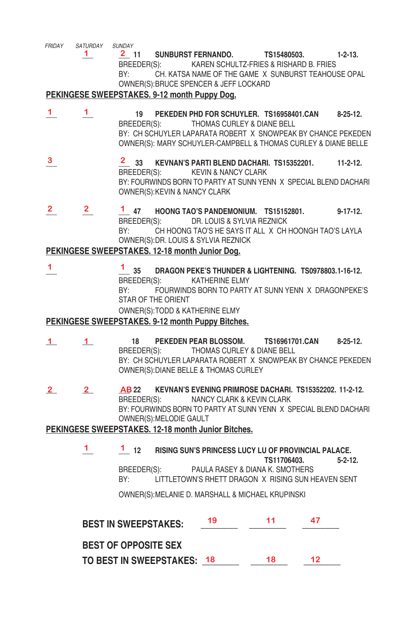*FRIDAY SATURDAY SUNDAY*

1 2 11 SUNBURST FERNANDO. **TS15480503.** 1-2-13. BREEDER(S): KAREN SCHULTZ-FRIES & RISHARD B. FRIES BY: CH. KATSA NAME OF THE GAME X SUNBURST TEAHOUSE OPAL OWNER(S): BRUCE SPENCER & JEFF LOCKARD

#### **PEKINGESE SWEEPSTAKES. 9-12 month Puppy Dog.**

- a sa karang sa kabupatèn Kabupatèn Kabupatèn Kabupatèn Kabupatèn Kabupatèn Kabupatèn Kabupatèn Kabupatèn Kabup **\_\_\_ \_\_\_ 19 PEKEDEN PHD FOR SCHUYLER. TS16958401.CAN 8-25-12.** BREEDER(S): THOMAS CURLEY & DIANE BELL BY: CH SCHUYLER LAPARATA ROBERT X SNOWPEAK BY CHANCE PEKEDEN OWNER(S): MARY SCHUYLER-CAMPBELL & THOMAS CURLEY & DIANE BELLE **1 1**
- **\_\_\_ \_\_\_ 33 KEVNAN'S PARTI BLEND DACHARI. TS15352201. 11-2-12.** BREEDER(S): KEVIN & NANCY CLARK BY: FOURWINDS BORN TO PARTY AT SUNN YENN X SPECIAL BLEND DACHARI OWNER(S): KEVIN & NANCY CLARK **3**
- **\_\_\_ \_\_\_ \_\_\_ 47 HOONG TAO'S PANDEMONIUM. TS15152801. 9-17-12.** BREEDER(S): DR. LOUIS & SYLVIA REZNICK BY: CH HOONG TAO'S HE SAYS IT ALL X CH HOONGH TAO'S LAYLA OWNER(S): DR. LOUIS & SYLVIA REZNICK **2 2 1**

#### **PEKINGESE SWEEPSTAKES. 12-18 month Junior Dog.**

and the contract of the contract of the contract of the contract of the contract of the contract of **\_\_\_ \_\_\_ 35 DRAGON PEKE'S THUNDER & LIGHTENING. TS0978803.1-16-12.** BREEDER(S): KATHERINE ELMY BY: FOURWINDS BORN TO PARTY AT SUNN YENN X DRAGONPEKE'S STAR OF THE ORIENT OWNER(S): TODD & KATHERINE ELMY **1 1** 

#### **PEKINGESE SWEEPSTAKES. 9-12 month Puppy Bitches.**

- **\_\_\_ \_\_\_ 18 PEKEDEN PEAR BLOSSOM. TS16961701.CAN 8-25-12.** THOMAS CURLEY & DIANE BELL BY: CH SCHUYLER LAPARATA ROBERT X SNOWPEAK BY CHANCE PEKEDEN OWNER(S): DIANE BELLE & THOMAS CURLEY **1 1**
- **\_\_\_ \_\_\_ \_\_\_ 22 KEVNAN'S EVENING PRIMROSE DACHARI. TS15352202. 11-2-12.** BREEDER(S): NANCY CLARK & KEVIN CLARK BY: FOURWINDS BORN TO PARTY AT SUNN YENN X SPECIAL BLEND DACHARI OWNER(S): MELODIE GAULT **2**

#### **PEKINGESE SWEEPSTAKES. 12-18 month Junior Bitches.**

 **\_\_\_ \_\_\_ 12 RISING SUN'S PRINCESS LUCY LU OF PROVINCIAL PALACE. TS11706403. 5-2-12.** BREEDER(S): PAULA RASEY & DIANA K. SMOTHERS BY: LITTLETOWN'S RHETT DRAGON X RISING SUN HEAVEN SENT **1** 

OWNER(S): MELANIE D. MARSHALL & MICHAEL KRUPINSKI

| <b>BEST IN SWEEPSTAKES:</b> | 19 | 11 |    |
|-----------------------------|----|----|----|
| <b>BEST OF OPPOSITE SEX</b> |    |    |    |
| TO BEST IN SWEEPSTAKES: 18  |    | 18 | 12 |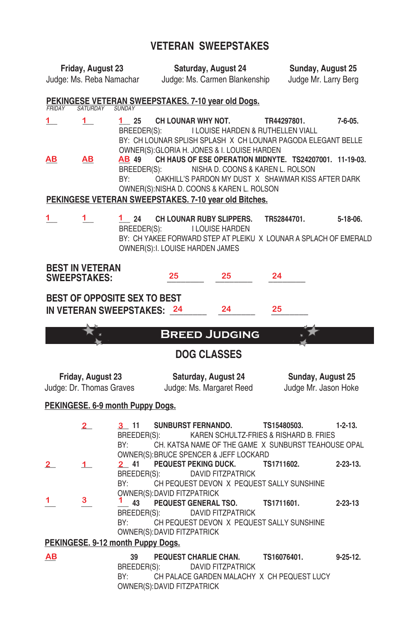# **VETERAN SWEEPSTAKES**

|                                                                        | Friday, August 23                             |                                   | Saturday, August 24                                                                                                    |                                                                                                     | Sunday, August 25<br>Judge Mr. Larry Berg                                                                     |                 |  |
|------------------------------------------------------------------------|-----------------------------------------------|-----------------------------------|------------------------------------------------------------------------------------------------------------------------|-----------------------------------------------------------------------------------------------------|---------------------------------------------------------------------------------------------------------------|-----------------|--|
| Judge: Ms. Carmen Blankenship<br>Judge: Ms. Reba Namachar              |                                               |                                   |                                                                                                                        |                                                                                                     |                                                                                                               |                 |  |
| <b>FRIDAY</b>                                                          | <b>SATURDAY</b>                               | <b>SUNDAY</b>                     | PEKINGESE VETERAN SWEEPSTAKES. 7-10 year old Dogs.                                                                     |                                                                                                     |                                                                                                               |                 |  |
| $1\overline{ }$                                                        | 1                                             | 1 25<br>BREEDER(S):               | <b>CH LOUNAR WHY NOT.</b>                                                                                              | I LOUISE HARDEN & RUTHELLEN VIALL<br>OWNER(S): GLORIA H. JONES & I. LOUISE HARDEN                   | TR44297801.<br>BY: CH LOUNAR SPLISH SPLASH X CH LOUNAR PAGODA ELEGANT BELLE                                   | 7-6-05.         |  |
| <u>AB</u>                                                              | AВ                                            | AB 49<br>BREEDER(S):<br>BY:       |                                                                                                                        | NISHA D. COONS & KAREN L. ROLSON                                                                    | CH HAUS OF ESE OPERATION MIDNYTE. TS24207001. 11-19-03.<br>OAKHILL'S PARDON MY DUST X SHAWMAR KISS AFTER DARK |                 |  |
|                                                                        |                                               |                                   |                                                                                                                        | OWNER(S): NISHA D. COONS & KAREN L. ROLSON<br>PEKINGESE VETERAN SWEEPSTAKES. 7-10 year old Bitches. |                                                                                                               |                 |  |
| 1                                                                      | 1.                                            | 1 24<br>BREEDER(S):               | CH LOUNAR RUBY SLIPPERS.<br>OWNER(S): I. LOUISE HARDEN JAMES                                                           | I LOUISE HARDEN                                                                                     | TR52844701.<br>BY: CH YAKEE FORWARD STEP AT PLEIKU X LOUNAR A SPLACH OF EMERALD                               | $5 - 18 - 06$ . |  |
| <b>SWEEPSTAKES:</b>                                                    | <b>BEST IN VETERAN</b>                        |                                   | 25                                                                                                                     | 25                                                                                                  | 24                                                                                                            |                 |  |
| BEST OF OPPOSITE SEX TO BEST<br>24<br>25<br>IN VETERAN SWEEPSTAKES: 24 |                                               |                                   |                                                                                                                        |                                                                                                     |                                                                                                               |                 |  |
|                                                                        |                                               |                                   | <b>BREED JUDGING</b>                                                                                                   |                                                                                                     |                                                                                                               |                 |  |
|                                                                        |                                               |                                   | <b>DOG CLASSES</b>                                                                                                     |                                                                                                     |                                                                                                               |                 |  |
|                                                                        | Friday, August 23<br>Judge: Dr. Thomas Graves |                                   | Saturday, August 24<br>Judge: Ms. Margaret Reed                                                                        |                                                                                                     | Sunday, August 25<br>Judge Mr. Jason Hoke                                                                     |                 |  |
|                                                                        |                                               | PEKINGESE. 6-9 month Puppy Dogs.  |                                                                                                                        |                                                                                                     |                                                                                                               |                 |  |
|                                                                        | $\mathbf{2}^-$                                | $3 - 11$<br>BREEDER(S):<br>BY:    | <b>SUNBURST FERNANDO.</b>                                                                                              |                                                                                                     | TS15480503.<br>KAREN SCHULTZ-FRIES & RISHARD B. FRIES<br>CH. KATSA NAME OF THE GAME X SUNBURST TEAHOUSE OPAL  | $1 - 2 - 13.$   |  |
| $\overline{\mathbf{2}}_{-}$                                            | 1.                                            | 2 41<br>BREEDER(S):<br>BY:        | <b>PEQUEST PEKING DUCK.</b>                                                                                            | OWNER(S): BRUCE SPENCER & JEFF LOCKARD<br><b>DAVID FITZPATRICK</b>                                  | TS1711602.<br>CH PEQUEST DEVON X PEQUEST SALLY SUNSHINE                                                       | $2 - 23 - 13$ . |  |
| 1                                                                      | 3                                             | BY:                               | OWNER(S): DAVID FITZPATRICK<br>43 PEQUEST GENERAL TSO.<br>BREEDER(S): DAVID FITZPATRICK<br>OWNER(S): DAVID FITZPATRICK |                                                                                                     | TS1711601.<br>CH PEQUEST DEVON X PEQUEST SALLY SUNSHINE                                                       | $2 - 23 - 13$   |  |
|                                                                        |                                               | PEKINGESE. 9-12 month Puppy Dogs. |                                                                                                                        |                                                                                                     |                                                                                                               |                 |  |
| <u>AB</u>                                                              |                                               | 39<br>BREEDER(S):<br>BY:          | PEQUEST CHARLIE CHAN.<br>OWNER(S): DAVID FITZPATRICK                                                                   | DAVID FITZPATRICK                                                                                   | TS16076401.<br>CH PALACE GARDEN MALACHY X CH PEQUEST LUCY                                                     | $9 - 25 - 12$ . |  |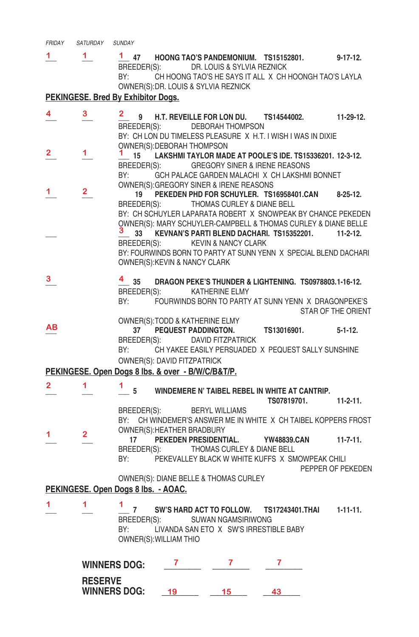| <b>FRIDAY</b> | SATURDAY | <b>SUNDAY</b> |
|---------------|----------|---------------|
|               |          |               |

**\_\_\_ \_\_\_ \_\_\_ 47 HOONG TAO'S PANDEMONIUM. TS15152801. 9-17-12.** BREEDER(S): DR. LOUIS & SYLVIA REZNICK BY: CH HOONG TAO'S HE SAYS IT ALL X CH HOONGH TAO'S LAYLA OWNER(S): DR. LOUIS & SYLVIA REZNICK  $1 \t 1$ 

#### **PEKINGESE. Bred By Exhibitor Dogs.**

| 4            | 3              | $\mathbf{2}$                        |                                                   | 9 H.T. REVEILLE FOR LON DU. TS14544002.                                                       |             | $11-29-12.$        |
|--------------|----------------|-------------------------------------|---------------------------------------------------|-----------------------------------------------------------------------------------------------|-------------|--------------------|
|              |                |                                     |                                                   | BREEDER(S): DEBORAH THOMPSON                                                                  |             |                    |
|              |                |                                     |                                                   | BY: CH LON DU TIMELESS PLEASURE X H.T. I WISH I WAS IN DIXIE                                  |             |                    |
| $\mathbf{2}$ | 1.             |                                     | OWNER(S): DEBORAH THOMPSON                        |                                                                                               |             |                    |
|              |                |                                     |                                                   | $1$ 15 LAKSHMI TAYLOR MADE AT POOLE'S IDE. TS15336201. 12-3-12.                               |             |                    |
|              |                | BY:                                 |                                                   | BREEDER(S): GREGORY SINER & IRENE REASONS<br>GCH PALACE GARDEN MALACHI X CH LAKSHMI BONNET    |             |                    |
|              |                |                                     |                                                   | OWNER(S): GREGORY SINER & IRENE REASONS                                                       |             |                    |
| 1.           | $\overline{2}$ | 19                                  |                                                   | PEKEDEN PHD FOR SCHUYLER. TS16958401.CAN 8-25-12.                                             |             |                    |
|              |                | BREEDER(S):                         |                                                   | THOMAS CURLEY & DIANE BELL                                                                    |             |                    |
|              |                |                                     |                                                   | BY: CH SCHUYLER LAPARATA ROBERT X SNOWPEAK BY CHANCE PEKEDEN                                  |             |                    |
|              |                |                                     |                                                   | OWNER(S): MARY SCHUYLER-CAMPBELL & THOMAS CURLEY & DIANE BELLE                                |             |                    |
|              |                |                                     |                                                   | 3 33 KEVNAN'S PARTI BLEND DACHARI. TS15352201.                                                |             | $11-2-12$          |
|              |                | BREEDER(S):                         |                                                   | KEVIN & NANCY CLARK<br>BY: FOURWINDS BORN TO PARTY AT SUNN YENN X SPECIAL BLEND DACHARI       |             |                    |
|              |                |                                     | OWNER(S): KEVIN & NANCY CLARK                     |                                                                                               |             |                    |
|              |                |                                     |                                                   |                                                                                               |             |                    |
| 3            |                | $4\overline{35}$                    |                                                   | DRAGON PEKE'S THUNDER & LIGHTENING. TS0978803.1-16-12.                                        |             |                    |
|              |                |                                     |                                                   | BREEDER(S): KATHERINE ELMY                                                                    |             |                    |
|              |                | BY:                                 |                                                   | FOURWINDS BORN TO PARTY AT SUNN YENN X DRAGONPEKE'S                                           |             | STAR OF THE ORIENT |
|              |                |                                     |                                                   | OWNER(S): TODD & KATHERINE ELMY                                                               |             |                    |
| AВ           |                | 37                                  | <b>PEQUEST PADDINGTON.</b>                        |                                                                                               | TS13016901. | $5 - 1 - 12$ .     |
|              |                |                                     |                                                   | BREEDER(S): DAVID FITZPATRICK                                                                 |             |                    |
|              |                | BY:                                 |                                                   | CH YAKEE EASILY PERSUADED X PEQUEST SALLY SUNSHINE                                            |             |                    |
|              |                |                                     | <b>OWNER(S): DAVID FITZPATRICK</b>                |                                                                                               |             |                    |
|              |                |                                     | PEKINGESE. Open Dogs 8 lbs. & over - B/W/C/B&T/P. |                                                                                               |             |                    |
| $\mathbf{2}$ | $\mathbf{1}$   | $\frac{1}{\sqrt{5}}$ 5              |                                                   | WINDEMERE N' TAIBEL REBEL IN WHITE AT CANTRIP.                                                |             |                    |
|              |                |                                     |                                                   |                                                                                               | TS07819701. | $11-2-11.$         |
|              |                |                                     |                                                   | BREEDER(S): BERYL WILLIAMS                                                                    |             |                    |
|              |                |                                     |                                                   | BY: CH WINDEMER'S ANSWER ME IN WHITE X CH TAIBEL KOPPERS FROST                                |             |                    |
| 1.           | 2 <sup>1</sup> |                                     | OWNER(S): HEATHER BRADBURY                        |                                                                                               |             |                    |
|              |                |                                     |                                                   | 17 PEKEDEN PRESIDENTIAL. YW48839.CAN                                                          |             | $11 - 7 - 11$ .    |
|              |                |                                     |                                                   | BREEDER(S): THOMAS CURLEY & DIANE BELL<br>BY: PEKEVALLEY BLACK W WHITE KUFFS X SMOWPEAK CHILI |             |                    |
|              |                |                                     |                                                   |                                                                                               |             | PEPPER OF PEKEDEN  |
|              |                |                                     |                                                   | OWNER(S): DIANE BELLE & THOMAS CURLEY                                                         |             |                    |
|              |                | PEKINGESE. Open Dogs 8 lbs. - AOAC. |                                                   |                                                                                               |             |                    |
| 1            | 1.             |                                     |                                                   |                                                                                               |             |                    |
|              |                | 7                                   |                                                   | SW'S HARD ACT TO FOLLOW. TS17243401.THAI                                                      |             | $1-11-11.$         |
|              |                | BY:                                 |                                                   | BREEDER(S): SUWAN NGAMSIRIWONG<br>LIVANDA SAN ETO X SW'S IRRESTIBLE BABY                      |             |                    |
|              |                |                                     |                                                   |                                                                                               |             |                    |

OWNER(S): WILLIAM THIO

| <b>WINNERS DOG:</b>                   |  |  |
|---------------------------------------|--|--|
| <b>RESERVE</b><br><b>WINNERS DOG:</b> |  |  |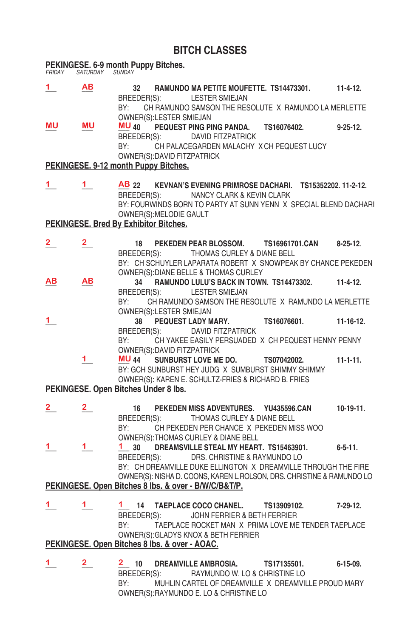#### **BITCH CLASSES**

# **PEKINGESE. 6-9 month Puppy Bitches.** *FRIDAY SATURDAY SUNDAY*

- **\_\_\_ \_\_\_ 32 RAMUNDO MA PETITE MOUFETTE. TS14473301. 11-4-12.** BREEDER(S): LESTER SMIEJAN BY: CH RAMUNDO SAMSON THE RESOLUTE X RAMUNDO LA MERLETTE OWNER(S):LESTER SMIEJAN<br>MU MU MU 40 PFOUEST PING PI **\_\_\_ \_\_\_ \_\_\_ 40 PEQUEST PING PING PANDA. TS16076402. 9-25-12.** BREEDER(S): DAVID FITZPATRICK BY: CH PALACEGARDEN MALACHY X CH PEQUEST LUCY OWNER(S): DAVID FITZPATRICK **PEKINGESE. 9-12 month Puppy Bitches. \_\_\_ \_\_\_ \_\_\_ 22 KEVNAN'S EVENING PRIMROSE DACHARI. TS15352202. 11-2-12.** BREEDER(S): NANCY CLARK & KEVIN CLARK BY: FOURWINDS BORN TO PARTY AT SUNN YENN X SPECIAL BLEND DACHARI OWNER(S): MELODIE GAULT **PEKINGESE. Bred By Exhibitor Bitches. \_\_\_ \_\_\_ 18 PEKEDEN PEAR BLOSSOM. TS16961701.CAN 8-25-12**. BREEDER(S): THOMAS CURLEY & DIANE BELL BY: CH SCHUYLER LAPARATA ROBERT X SNOWPEAK BY CHANCE PEKEDEN OWNER(S): DIANE BELLE & THOMAS CURLEY<br>AB AB 34 RAMUNDO LULU'S BACK IN TOWN **\_\_\_ \_\_\_ 34 RAMUNDO LULU'S BACK IN TOWN. TS14473302. 11-4-12.** BREEDER(S): LESTER SMIEJAN BY: CH RAMUNDO SAMSON THE RESOLUTE X RAMUNDO LA MERLETTE OWNER(S):LESTER SMIEJAN **\_\_\_ 38 PEQUEST LADY MARY. TS16076601. 11-16-12.** BREEDER(S): DAVID FITZPATRICK BY: CH YAKEE EASILY PERSUADED X CH PEQUEST HENNY PENNY OWNER(S):DAVID FITZPATRICK<br>1 MU 44 SUNBURST LOVE ME **\_\_\_ \_\_\_ 44 SUNBURST LOVE ME DO. TS07042002. 11-1-11.** BY: GCH SUNBURST HEY JUDG X SUMBURST SHIMMY SHIMMY OWNER(S): KAREN E. SCHULTZ-FRIES & RICHARD B. FRIES **PEKINGESE. Open Bitches Under 8 lbs. \_\_\_ \_\_\_ 16 PEKEDEN MISS ADVENTURES. YU435596.CAN 10-19-11.** BREEDER(S): THOMAS CURLEY & DIANE BELL BY: CH PEKEDEN PER CHANCE X PEKEDEN MISS WOO OWNER(S):THOMAS CURLEY & DIANE BELL<br>1 30 DREAMSVILLE STEAL MY HEART **\_\_\_ \_\_\_ \_\_\_ 30 DREAMSVILLE STEAL MY HEART. TS15463901. 6-5-11.** BREEDER(S): DRS. CHRISTINE & RAYMUNDO LO BY: CH DREAMVILLE DUKE ELLINGTON X DREAMVILLE THROUGH THE FIRE OWNER(S): NISHA D. COONS, KAREN L.ROLSON, DRS. CHRISTINE & RAMUNDO LO **PEKINGESE. Open Bitches 8 lbs. & over - B/W/C/B&T/P. \_\_\_ \_\_\_ \_\_\_ 14 TAEPLACE COCO CHANEL. TS13909102. 7-29-12.** BREEDER(S): JOHN FERRIER & BETH FERRIER BY: TAEPLACE ROCKET MAN X PRIMA LOVE ME TENDER TAEPLACE OWNER(S): GLADYS KNOX & BETH FERRIER **PEKINGESE. Open Bitches 8 lbs. & over - AOAC.**  $1<sub>a</sub>$ **MU MU MU 1 2 2 AB AB 1 MU** 44 **2 2 1** 1 1 **1 1 1 1**
- **\_\_\_ \_\_\_ \_\_\_ 10 DREAMVILLE AMBROSIA. TS17135501. 6-15-09.** BREEDER(S): RAYMUNDO W. LO & CHRISTINE LO BY: MUHLIN CARTEL OF DREAMVILLE X DREAMVILLE PROUD MARY OWNER(S): RAYMUNDO E. LO & CHRISTINE LO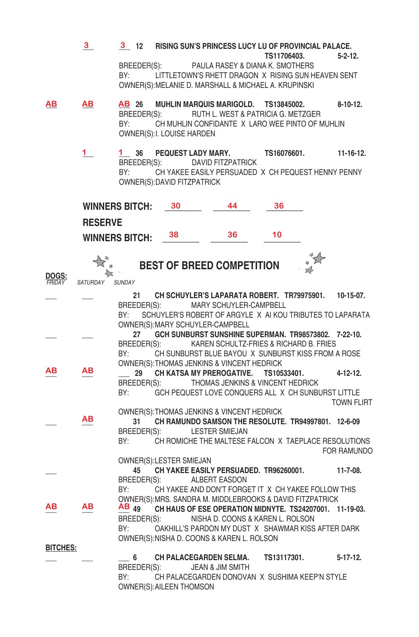|                        | 3               | 3 12 RISING SUN'S PRINCESS LUCY LU OF PROVINCIAL PALACE.<br>TS11706403.<br>BREEDER(S): PAULA RASEY & DIANA K. SMOTHERS                                                                                                                                                                                                                       | $5 - 2 - 12$ .    |
|------------------------|-----------------|----------------------------------------------------------------------------------------------------------------------------------------------------------------------------------------------------------------------------------------------------------------------------------------------------------------------------------------------|-------------------|
|                        |                 | BY: and the set of the set of the set of the set of the set of the set of the set of the set of the set of the set of the set of the set of the set of the set of the set of the set of the set of the set of the set of the s<br>LITTLETOWN'S RHETT DRAGON X RISING SUN HEAVEN SENT<br>OWNER(S): MELANIE D. MARSHALL & MICHAEL A. KRUPINSKI |                   |
| ΑВ                     | ΑВ              | AB 26 MUHLIN MARQUIS MARIGOLD. TS13845002.<br>BREEDER(S): RUTH L. WEST & PATRICIA G. METZGER<br>BY:<br>CH MUHLIN CONFIDANTE X LARO WEE PINTO OF MUHLIN<br>OWNER(S): I. LOUISE HARDEN                                                                                                                                                         | $8 - 10 - 12$ .   |
|                        | 1.              | 1 36 PEQUEST LADY MARY.<br>TS16076601.<br>BREEDER(S): DAVID FITZPATRICK<br>BY:<br>CH YAKEE EASILY PERSUADED X CH PEQUEST HENNY PENNY<br>OWNER(S): DAVID FITZPATRICK                                                                                                                                                                          | $11 - 16 - 12$ .  |
|                        | <b>RESERVE</b>  | <b>WINNERS BITCH:</b><br>30<br>44<br>36                                                                                                                                                                                                                                                                                                      |                   |
|                        |                 | 36<br>10<br>38<br><b>WINNERS BITCH:</b>                                                                                                                                                                                                                                                                                                      |                   |
|                        |                 | <b>BEST OF BREED COMPETITION</b>                                                                                                                                                                                                                                                                                                             |                   |
| <b>DOGS:</b><br>FRIDAY | <b>SATURDAY</b> | <b>SUNDAY</b>                                                                                                                                                                                                                                                                                                                                |                   |
|                        |                 | $21 -$<br>CH SCHUYLER'S LAPARATA ROBERT. TR79975901.                                                                                                                                                                                                                                                                                         | $10-15-07$ .      |
|                        |                 | BREEDER(S): MARY SCHUYLER-CAMPBELL<br>BY:<br>SCHUYLER'S ROBERT OF ARGYLE X AI KOU TRIBUTES TO LAPARATA                                                                                                                                                                                                                                       |                   |
|                        |                 | OWNER(S): MARY SCHUYLER-CAMPBELL                                                                                                                                                                                                                                                                                                             |                   |
|                        |                 | GCH SUNBURST SUNSHINE SUPERMAN. TR98573802. 7-22-10.<br>27<br>BREEDER(S): KAREN SCHULTZ-FRIES & RICHARD B. FRIES                                                                                                                                                                                                                             |                   |
|                        |                 | BY: and the set of the set of the set of the set of the set of the set of the set of the set of the set of the<br>CH SUNBURST BLUE BAYOU X SUNBURST KISS FROM A ROSE<br>OWNER(S): THOMAS JENKINS & VINCENT HEDRICK                                                                                                                           |                   |
| ΑВ                     | ΑВ              | CH KATSA MY PREROGATIVE. TS10533401.<br>29                                                                                                                                                                                                                                                                                                   | 4-12-12.          |
|                        |                 | THOMAS JENKINS & VINCENT HEDRICK<br>BREEDER(S):<br>GCH PEQUEST LOVE CONQUERS ALL X CH SUNBURST LITTLE<br>BY:                                                                                                                                                                                                                                 | <b>TOWN FLIRT</b> |
|                        | ΑВ              | OWNER(S): THOMAS JENKINS & VINCENT HEDRICK                                                                                                                                                                                                                                                                                                   |                   |
|                        |                 | CH RAMUNDO SAMSON THE RESOLUTE, TR94997801, 12-6-09<br>31<br>BREEDER(S):<br><b>LESTER SMIEJAN</b>                                                                                                                                                                                                                                            |                   |
|                        |                 | CH ROMICHE THE MALTESE FALCON X TAEPLACE RESOLUTIONS<br>BY:<br>OWNER(S): LESTER SMIEJAN                                                                                                                                                                                                                                                      | FOR RAMUNDO       |
|                        |                 | CH YAKEE EASILY PERSUADED. TR96260001. 11-7-08.<br>45                                                                                                                                                                                                                                                                                        |                   |
|                        |                 | BREEDER(S):<br>ALBERT EASDON<br>CH YAKEE AND DON'T FORGET IT X CH YAKEE FOLLOW THIS<br>BY:                                                                                                                                                                                                                                                   |                   |
| AВ                     | ΑВ              | OWNER(S): MRS. SANDRA M. MIDDLEBROOKS & DAVID FITZPATRICK<br>$AB_{49}$<br>CH HAUS OF ESE OPERATION MIDNYTE. TS24207001. 11-19-03.                                                                                                                                                                                                            |                   |
|                        |                 | BREEDER(S):<br>NISHA D. COONS & KAREN L. ROLSON                                                                                                                                                                                                                                                                                              |                   |
|                        |                 | OAKHILL'S PARDON MY DUST X SHAWMAR KISS AFTER DARK<br>BY:<br>OWNER(S): NISHA D. COONS & KAREN L. ROLSON                                                                                                                                                                                                                                      |                   |
| <b>BITCHES:</b>        |                 |                                                                                                                                                                                                                                                                                                                                              |                   |
|                        |                 | CH PALACEGARDEN SELMA.<br>6<br>TS13117301.<br>BREEDER(S):<br><b>JEAN &amp; JIM SMITH</b>                                                                                                                                                                                                                                                     | $5 - 17 - 12$ .   |
|                        |                 | BY:<br>CH PALACEGARDEN DONOVAN X SUSHIMA KEEP'N STYLE<br>OWNER(S): AILEEN THOMSON                                                                                                                                                                                                                                                            |                   |